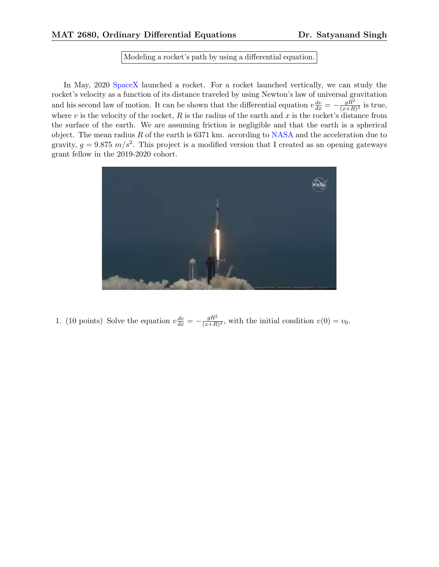## Modeling a rocket's path by using a differential equation.

In May, 2020 SpaceX launched a rocket. For a rocket launched vertically, we can study the rocket's velocity as a function of its distance traveled by using Newton's law of universal gravitation and his second law of motion. It can be shown that the differential equation  $v \frac{dv}{dx} = -\frac{gR^2}{(x+R)^2}$  is true, where *v* is the velocity of the rocket, *R* is the radius of the earth and *x* is the rocket's distance from the surface of the earth. We are assuming friction is negligible and that the earth is a spherical object. The mean radius *R* of the earth is 6371 km. according to NASA and the acceleration due to gravity,  $g = 9.875 \, m/s^2$ . This project is a modified version that I created as an opening gateways grant fellow in the 2019-2020 cohort.



1. (10 points) Solve the equation  $v \frac{dv}{dx} = -\frac{gR^2}{(x+R)^2}$ , with the initial condition  $v(0) = v_0$ .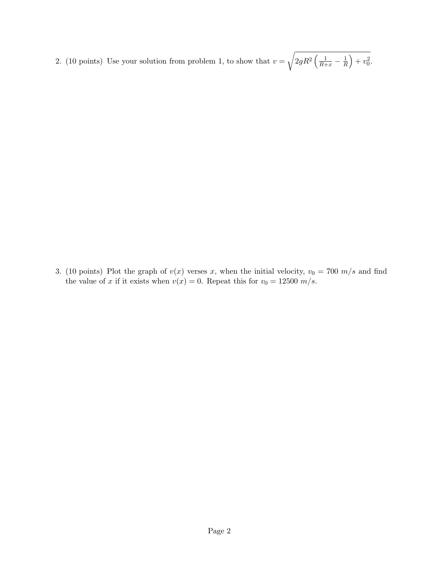2. (10 points) Use your solution from problem 1, to show that  $v =$ <sup>1</sup>  $2gR^2\left(\frac{1}{R+x}-\frac{1}{R}\right)$  $+ v_0^2$ .

3. (10 points) Plot the graph of  $v(x)$  verses *x*, when the initial velocity,  $v_0 = 700$  m/s and find the value of *x* if it exists when  $v(x) = 0$ . Repeat this for  $v_0 = 12500$  m/s.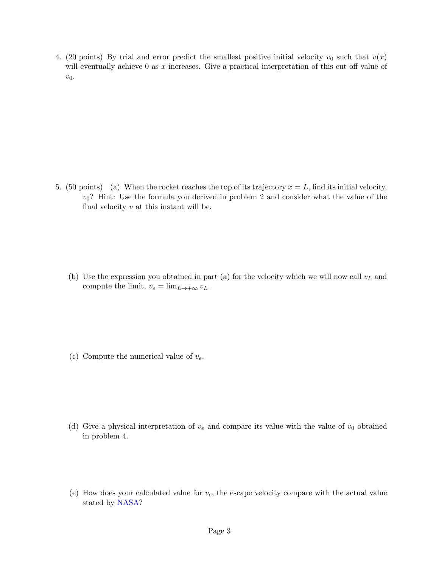4. (20 points) By trial and error predict the smallest positive initial velocity  $v_0$  such that  $v(x)$ will eventually achieve  $0$  as  $x$  increases. Give a practical interpretation of this cut off value of  $v_0$ .

5. (50 points) (a) When the rocket reaches the top of its trajectory  $x = L$ , find its initial velocity, *v*0? Hint: Use the formula you derived in problem 2 and consider what the value of the final velocity *v* at this instant will be.

(b) Use the expression you obtained in part (a) for the velocity which we will now call *v<sup>L</sup>* and compute the limit,  $v_e = \lim_{L \to +\infty} v_L$ .

(c) Compute the numerical value of *ve*.

- (d) Give a physical interpretation of  $v_e$  and compare its value with the value of  $v_0$  obtained in problem 4.
- (e) How does your calculated value for *ve*, the escape velocity compare with the actual value stated by NASA?